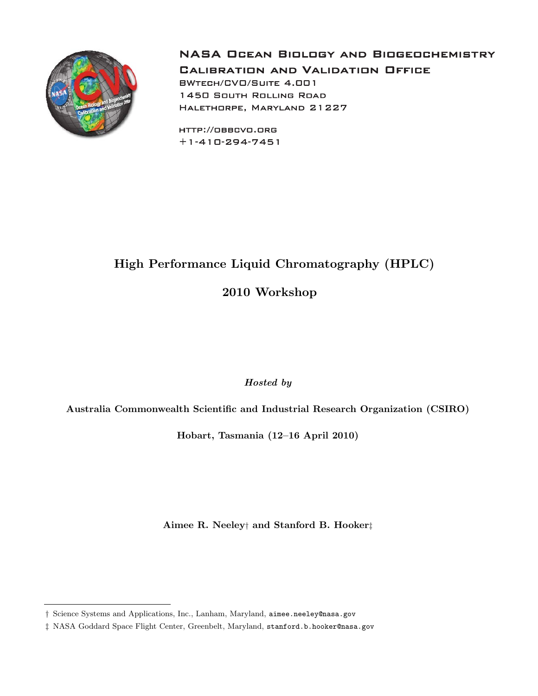

**NASA OCEAN BIOLOGY AND BIOGEOCHEMISTRY** 

**CALIBRATION AND VALIDATION OFFICE BWTECH/CVO/SUITE 4.001 1450 SOUTH ROLLING ROAD** HALETHORPE, MARYLAND 21227

HTTP://OBBCVO.ORG  $+1 - 410 - 294 - 7451$ 

# High Performance Liquid Chromatography (HPLC) 2010 Workshop

Hosted by

Australia Commonwealth Scientific and Industrial Research Organization (CSIRO)

Hobart, Tasmania (12–16 April 2010)

Aimee R. Neeley† and Stanford B. Hooker‡

<sup>†</sup> Science Systems and Applications, Inc., Lanham, Maryland, aimee.neeley@nasa.gov

<sup>‡</sup> NASA Goddard Space Flight Center, Greenbelt, Maryland, stanford.b.hooker@nasa.gov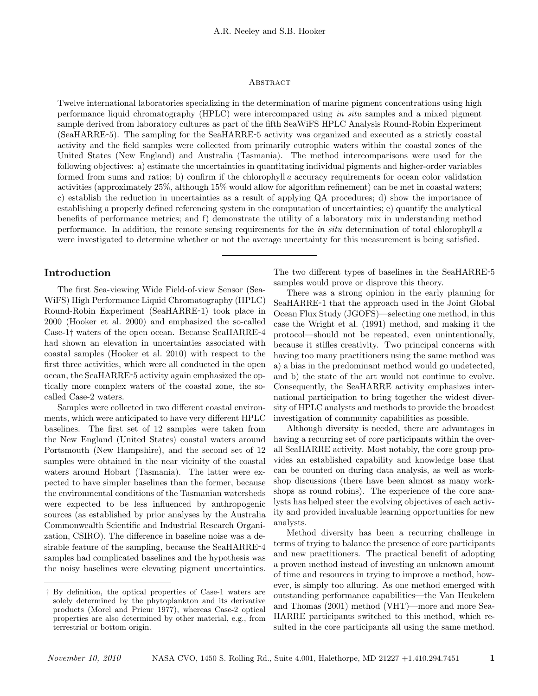#### **ABSTRACT**

Twelve international laboratories specializing in the determination of marine pigment concentrations using high performance liquid chromatography (HPLC) were intercompared using in situ samples and a mixed pigment sample derived from laboratory cultures as part of the fifth SeaWiFS HPLC Analysis Round-Robin Experiment (SeaHARRE-5). The sampling for the SeaHARRE-5 activity was organized and executed as a strictly coastal activity and the field samples were collected from primarily eutrophic waters within the coastal zones of the United States (New England) and Australia (Tasmania). The method intercomparisons were used for the following objectives: a) estimate the uncertainties in quantitating individual pigments and higher-order variables formed from sums and ratios; b) confirm if the chlorophyll a accuracy requirements for ocean color validation activities (approximately 25%, although 15% would allow for algorithm refinement) can be met in coastal waters; c) establish the reduction in uncertainties as a result of applying QA procedures; d) show the importance of establishing a properly defined referencing system in the computation of uncertainties; e) quantify the analytical benefits of performance metrics; and f) demonstrate the utility of a laboratory mix in understanding method performance. In addition, the remote sensing requirements for the in situ determination of total chlorophyll a were investigated to determine whether or not the average uncertainty for this measurement is being satisfied.

## Introduction

The first Sea-viewing Wide Field-of-view Sensor (Sea-WiFS) High Performance Liquid Chromatography (HPLC) Round-Robin Experiment (SeaHARRE-1) took place in 2000 (Hooker et al. 2000) and emphasized the so-called Case-1† waters of the open ocean. Because SeaHARRE-4 had shown an elevation in uncertainties associated with coastal samples (Hooker et al. 2010) with respect to the first three activities, which were all conducted in the open ocean, the SeaHARRE-5 activity again emphasized the optically more complex waters of the coastal zone, the socalled Case-2 waters.

Samples were collected in two different coastal environments, which were anticipated to have very different HPLC baselines. The first set of 12 samples were taken from the New England (United States) coastal waters around Portsmouth (New Hampshire), and the second set of 12 samples were obtained in the near vicinity of the coastal waters around Hobart (Tasmania). The latter were expected to have simpler baselines than the former, because the environmental conditions of the Tasmanian watersheds were expected to be less influenced by anthropogenic sources (as established by prior analyses by the Australia Commonwealth Scientific and Industrial Research Organization, CSIRO). The difference in baseline noise was a desirable feature of the sampling, because the SeaHARRE-4 samples had complicated baselines and the hypothesis was the noisy baselines were elevating pigment uncertainties. The two different types of baselines in the SeaHARRE-5 samples would prove or disprove this theory.

There was a strong opinion in the early planning for SeaHARRE-1 that the approach used in the Joint Global Ocean Flux Study (JGOFS)—selecting one method, in this case the Wright et al. (1991) method, and making it the protocol—should not be repeated, even unintentionally, because it stifles creativity. Two principal concerns with having too many practitioners using the same method was a) a bias in the predominant method would go undetected, and b) the state of the art would not continue to evolve. Consequently, the SeaHARRE activity emphasizes international participation to bring together the widest diversity of HPLC analysts and methods to provide the broadest investigation of community capabilities as possible.

Although diversity is needed, there are advantages in having a recurring set of core participants within the overall SeaHARRE activity. Most notably, the core group provides an established capability and knowledge base that can be counted on during data analysis, as well as workshop discussions (there have been almost as many workshops as round robins). The experience of the core analysts has helped steer the evolving objectives of each activity and provided invaluable learning opportunities for new analysts.

Method diversity has been a recurring challenge in terms of trying to balance the presence of core participants and new practitioners. The practical benefit of adopting a proven method instead of investing an unknown amount of time and resources in trying to improve a method, however, is simply too alluring. As one method emerged with outstanding performance capabilities—the Van Heukelem and Thomas (2001) method (VHT)—more and more Sea-HARRE participants switched to this method, which resulted in the core participants all using the same method.

<sup>†</sup> By definition, the optical properties of Case-1 waters are solely determined by the phytoplankton and its derivative products (Morel and Prieur 1977), whereas Case-2 optical properties are also determined by other material, e.g., from terrestrial or bottom origin.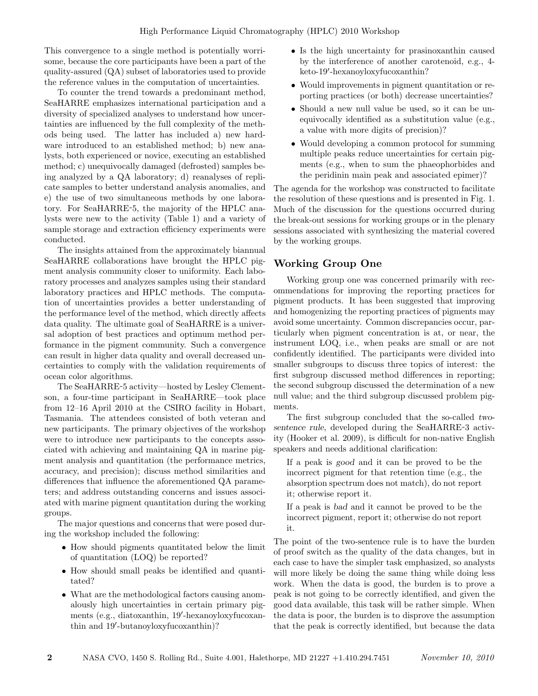This convergence to a single method is potentially worrisome, because the core participants have been a part of the quality-assured (QA) subset of laboratories used to provide the reference values in the computation of uncertainties.

To counter the trend towards a predominant method, SeaHARRE emphasizes international participation and a diversity of specialized analyses to understand how uncertainties are influenced by the full complexity of the methods being used. The latter has included a) new hardware introduced to an established method; b) new analysts, both experienced or novice, executing an established method; c) unequivocally damaged (defrosted) samples being analyzed by a QA laboratory; d) reanalyses of replicate samples to better understand analysis anomalies, and e) the use of two simultaneous methods by one laboratory. For SeaHARRE-5, the majority of the HPLC analysts were new to the activity (Table 1) and a variety of sample storage and extraction efficiency experiments were conducted.

The insights attained from the approximately biannual SeaHARRE collaborations have brought the HPLC pigment analysis community closer to uniformity. Each laboratory processes and analyzes samples using their standard laboratory practices and HPLC methods. The computation of uncertainties provides a better understanding of the performance level of the method, which directly affects data quality. The ultimate goal of SeaHARRE is a universal adoption of best practices and optimum method performance in the pigment community. Such a convergence can result in higher data quality and overall decreased uncertainties to comply with the validation requirements of ocean color algorithms.

The SeaHARRE-5 activity—hosted by Lesley Clementson, a four-time participant in SeaHARRE—took place from 12–16 April 2010 at the CSIRO facility in Hobart, Tasmania. The attendees consisted of both veteran and new participants. The primary objectives of the workshop were to introduce new participants to the concepts associated with achieving and maintaining QA in marine pigment analysis and quantitation (the performance metrics, accuracy, and precision); discuss method similarities and differences that influence the aforementioned QA parameters; and address outstanding concerns and issues associated with marine pigment quantitation during the working groups.

The major questions and concerns that were posed during the workshop included the following:

- How should pigments quantitated below the limit of quantitation (LOQ) be reported?
- How should small peaks be identified and quantitated?
- What are the methodological factors causing anomalously high uncertainties in certain primary pigments (e.g., diatoxanthin, 19'-hexanoyloxyfucoxanthin and 19'-butanoyloxyfucoxanthin)?
- Is the high uncertainty for prasinoxanthin caused by the interference of another carotenoid, e.g., 4 keto-19'-hexanoyloxyfucoxanthin?
- Would improvements in pigment quantitation or reporting practices (or both) decrease uncertainties?
- Should a new null value be used, so it can be unequivocally identified as a substitution value (e.g., a value with more digits of precision)?
- Would developing a common protocol for summing multiple peaks reduce uncertainties for certain pigments (e.g., when to sum the phaeophorbides and the peridinin main peak and associated epimer)?

The agenda for the workshop was constructed to facilitate the resolution of these questions and is presented in Fig. 1. Much of the discussion for the questions occurred during the break-out sessions for working groups or in the plenary sessions associated with synthesizing the material covered by the working groups.

# Working Group One

Working group one was concerned primarily with recommendations for improving the reporting practices for pigment products. It has been suggested that improving and homogenizing the reporting practices of pigments may avoid some uncertainty. Common discrepancies occur, particularly when pigment concentration is at, or near, the instrument LOQ, i.e., when peaks are small or are not confidently identified. The participants were divided into smaller subgroups to discuss three topics of interest: the first subgroup discussed method differences in reporting; the second subgroup discussed the determination of a new null value; and the third subgroup discussed problem pigments.

The first subgroup concluded that the so-called twosentence rule, developed during the SeaHARRE-3 activity (Hooker et al. 2009), is difficult for non-native English speakers and needs additional clarification:

If a peak is good and it can be proved to be the incorrect pigment for that retention time (e.g., the absorption spectrum does not match), do not report it; otherwise report it.

If a peak is bad and it cannot be proved to be the incorrect pigment, report it; otherwise do not report it.

The point of the two-sentence rule is to have the burden of proof switch as the quality of the data changes, but in each case to have the simpler task emphasized, so analysts will more likely be doing the same thing while doing less work. When the data is good, the burden is to prove a peak is not going to be correctly identified, and given the good data available, this task will be rather simple. When the data is poor, the burden is to disprove the assumption that the peak is correctly identified, but because the data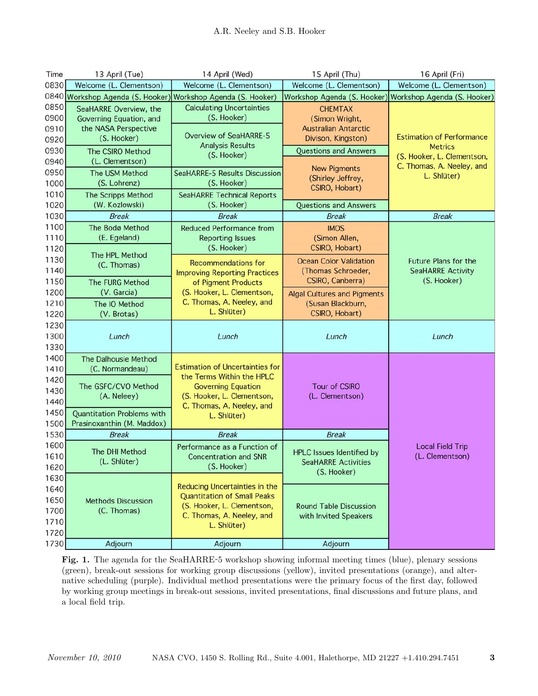| Time         | 13 April (Tue)                                                  | 14 April (Wed)                                               | 15 April (Thu)                     | 16 April (Fri)                                          |
|--------------|-----------------------------------------------------------------|--------------------------------------------------------------|------------------------------------|---------------------------------------------------------|
| 0830         | Welcome (L. Clementson)                                         | Welcome (L. Clementson)                                      | Welcome (L. Clementson)            | Welcome (L. Clementson)                                 |
|              | 0840 Workshop Agenda (S. Hooker) Workshop Agenda (S. Hooker)    |                                                              |                                    | Workshop Agenda (S. Hooker) Workshop Agenda (S. Hooker) |
| 0850         | SeaHARRE Overview, the                                          | <b>Calculating Uncertainties</b>                             | <b>CHEMTAX</b>                     |                                                         |
| 0900         | Governing Equation, and                                         | (S. Hooker)                                                  | (Simon Wright,                     |                                                         |
| 0910         | the NASA Perspective                                            | <b>Overview of SeaHARRE-5</b>                                | <b>Australian Antarctic</b>        |                                                         |
| 0920         | (S. Hooker)                                                     | <b>Analysis Results</b>                                      | Divison, Kingston)                 | <b>Estimation of Performance</b><br><b>Metrics</b>      |
| 0930         | The CSIRO Method                                                | (S. Hooker)                                                  | <b>Questions and Answers</b>       | (S. Hooker, L. Clementson,                              |
| 0940         | (L. Clementson)                                                 |                                                              | <b>New Pigments</b>                | C. Thomas, A. Neeley, and                               |
| 0950         | The USM Method                                                  | <b>SeaHARRE-5 Results Discussion</b>                         | (Shirley Jeffrey,                  | L. Shlüter)                                             |
| 1000         | (S. Lohrenz)                                                    | (S. Hooker)                                                  | CSIRO, Hobart)                     |                                                         |
| 1010         | The Scripps Method                                              | <b>SeaHARRE Technical Reports</b>                            |                                    |                                                         |
| 1020         | (W. Kozlowski)                                                  | (S. Hooker)                                                  | <b>Questions and Answers</b>       |                                                         |
| 1030         | <b>Break</b>                                                    | <b>Break</b>                                                 | <b>Break</b>                       | <b>Break</b>                                            |
| 1100         | The Bodø Method                                                 | <b>Reduced Performance from</b>                              | <b>IMOS</b>                        |                                                         |
| 1110         | (E. Egeland)                                                    | <b>Reporting Issues</b>                                      | (Simon Allen,                      |                                                         |
| 1120         | The HPL Method                                                  | (S. Hooker)                                                  | CSIRO, Hobart)                     |                                                         |
| 1130         | (C. Thomas)                                                     | <b>Recommendations for</b>                                   | <b>Ocean Color Validation</b>      | <b>Future Plans for the</b>                             |
| 1140         |                                                                 | <b>Improving Reporting Practices</b>                         | (Thomas Schroeder,                 | <b>SeaHARRE Activity</b>                                |
| 1150         | The FURG Method                                                 | of Pigment Products                                          | CSIRO, Canberra)                   | (S. Hooker)                                             |
| 1200         | (V. Garcia)                                                     | (S. Hooker, L. Clementson,<br>C. Thomas, A. Neeley, and      | <b>Algal Cultures and Pigments</b> |                                                         |
| 1210         | The IO Method                                                   | L. Shlüter)                                                  | (Susan Blackburn,                  |                                                         |
| 1220         | (V. Brotas)                                                     |                                                              | CSIRO, Hobart)                     |                                                         |
| 1230         |                                                                 |                                                              |                                    |                                                         |
| 1300         | Lunch                                                           | Lunch                                                        | Lunch                              | Lunch                                                   |
| 1330         |                                                                 |                                                              |                                    |                                                         |
| 1400         | The Dalhousie Method                                            | <b>Estimation of Uncertainties for</b>                       |                                    |                                                         |
| 1410         | (C. Normandeau)                                                 | the Terms Within the HPLC                                    |                                    |                                                         |
| 1420         | The GSFC/CVO Method                                             | <b>Governing Equation</b>                                    | <b>Tour of CSIRO</b>               |                                                         |
| 1430<br>1440 | (A. Neleey)                                                     | (S. Hooker, L. Clementson,                                   | (L. Clementson)                    |                                                         |
|              |                                                                 | C. Thomas, A. Neeley, and                                    |                                    |                                                         |
| 1450<br>1500 | <b>Quantitation Problems with</b><br>Prasinoxanthin (M. Maddox) | L. Shlüter)                                                  |                                    |                                                         |
| 1530         | <b>Break</b>                                                    | <b>Break</b>                                                 | <b>Break</b>                       |                                                         |
| 1600         |                                                                 |                                                              |                                    |                                                         |
| 1610         | The DHI Method                                                  | Performance as a Function of<br><b>Concentration and SNR</b> | <b>HPLC Issues Identified by</b>   | <b>Local Field Trip</b><br>(L. Clementson)              |
| 1620         | (L. Shlüter)                                                    | (S. Hooker)                                                  | <b>SeaHARRE Activities</b>         |                                                         |
| 1630         |                                                                 |                                                              | (S. Hooker)                        |                                                         |
| 1640         |                                                                 | <b>Reducing Uncertainties in the</b>                         |                                    |                                                         |
| 1650         | <b>Methods Discussion</b>                                       | <b>Quantitation of Small Peaks</b>                           |                                    |                                                         |
| 1700         | (C. Thomas)                                                     | (S. Hooker, L. Clementson,                                   | <b>Round Table Discussion</b>      |                                                         |
| 1710         |                                                                 | C. Thomas, A. Neeley, and                                    | with Invited Speakers              |                                                         |
| 1720         |                                                                 | L. Shlüter)                                                  |                                    |                                                         |
| 1730         | Adjourn                                                         | Adjourn                                                      | Adjourn                            |                                                         |

Fig. 1. The agenda for the SeaHARRE-5 workshop showing informal meeting times (blue), plenary sessions (green), break-out sessions for working group discussions (yellow), invited presentations (orange), and alternative scheduling (purple). Individual method presentations were the primary focus of the first day, followed by working group meetings in break-out sessions, invited presentations, final discussions and future plans, and a local field trip.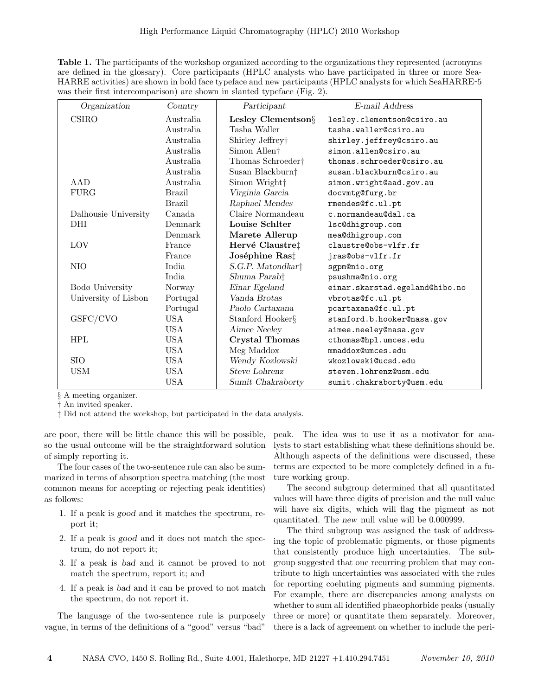Table 1. The participants of the workshop organized according to the organizations they represented (acronyms are defined in the glossary). Core participants (HPLC analysts who have participated in three or more Sea-HARRE activities) are shown in bold face typeface and new participants (HPLC analysts for which SeaHARRE-5 was their first intercomparison) are shown in slanted typeface (Fig. 2).

| Organization         | Country       | Participant                   | E-mail Address                 |
|----------------------|---------------|-------------------------------|--------------------------------|
| <b>CSIRO</b>         | Australia     | Lesley Clementson§            | lesley.clementson@csiro.au     |
|                      | Australia     | Tasha Waller                  | tasha.waller@csiro.au          |
|                      | Australia     | Shirley Jeffrey†              | shirley.jeffrey@csiro.au       |
|                      | Australia     | Simon Allen <sup>+</sup>      | simon.allen@csiro.au           |
|                      | Australia     | Thomas Schroeder <sup>+</sup> | thomas.schroeder@csiro.au      |
|                      | Australia     | Susan Blackburn†              | susan.blackburn@csiro.au       |
| AAD                  | Australia     | Simon Wright <sup>+</sup>     | simon.wright@aad.gov.au        |
| FURG                 | <b>Brazil</b> | Virginia Garcia               | docvmtg@furg.br                |
|                      | <b>Brazil</b> | Raphael Mendes                | rmendes@fc.ul.pt               |
| Dalhousie University | Canada        | Claire Normandeau             | c.normandeau@dal.ca            |
| <b>DHI</b>           | Denmark       | Louise Schlter                | lsc@dhigroup.com               |
|                      | Denmark       | Marete Allerup                | mea@dhigroup.com               |
| LOV                  | France        | Hervé Claustre‡               | claustre@obs-vlfr.fr           |
|                      | France        | Joséphine Ras‡                | jras@obs-vlfr.fr               |
| NIO                  | India         | S.G.P. Matondkar <sup>†</sup> | sgpm@nio.org                   |
|                      | India         | Shuma Parab‡                  | psushma@nio.org                |
| Bodø University      | Norway        | Einar Egeland                 | einar.skarstad.egeland@hibo.no |
| University of Lisbon | Portugal      | Vanda Brotas                  | vbrotas@fc.ul.pt               |
|                      | Portugal      | Paolo Cartaxana               | pcartaxana@fc.ul.pt            |
| GSFC/CVO             | <b>USA</b>    | Stanford Hooker§              | stanford.b.hooker@nasa.gov     |
|                      | <b>USA</b>    | Aimee Neeley                  | aimee.neeley@nasa.gov          |
| HPL                  | <b>USA</b>    | <b>Crystal Thomas</b>         | cthomas@hpl.umces.edu          |
|                      | <b>USA</b>    | Meg Maddox                    | mmaddox@umces.edu              |
| <b>SIO</b>           | <b>USA</b>    | Wendy Kozlowski               | wkozlowski@ucsd.edu            |
| <b>USM</b>           | <b>USA</b>    | <b>Steve Lohrenz</b>          | steven.lohrenz@usm.edu         |
|                      | <b>USA</b>    | Sumit Chakraborty             | sumit.chakraborty@usm.edu      |

§ A meeting organizer.

† An invited speaker.

‡ Did not attend the workshop, but participated in the data analysis.

are poor, there will be little chance this will be possible, so the usual outcome will be the straightforward solution of simply reporting it.

The four cases of the two-sentence rule can also be summarized in terms of absorption spectra matching (the most common means for accepting or rejecting peak identities) as follows:

- 1. If a peak is good and it matches the spectrum, report it;
- 2. If a peak is good and it does not match the spectrum, do not report it;
- 3. If a peak is bad and it cannot be proved to not match the spectrum, report it; and
- 4. If a peak is bad and it can be proved to not match the spectrum, do not report it.

The language of the two-sentence rule is purposely vague, in terms of the definitions of a "good" versus "bad"

peak. The idea was to use it as a motivator for analysts to start establishing what these definitions should be. Although aspects of the definitions were discussed, these terms are expected to be more completely defined in a future working group.

The second subgroup determined that all quantitated values will have three digits of precision and the null value will have six digits, which will flag the pigment as not quantitated. The new null value will be 0.000999.

The third subgroup was assigned the task of addressing the topic of problematic pigments, or those pigments that consistently produce high uncertainties. The subgroup suggested that one recurring problem that may contribute to high uncertainties was associated with the rules for reporting coeluting pigments and summing pigments. For example, there are discrepancies among analysts on whether to sum all identified phaeophorbide peaks (usually three or more) or quantitate them separately. Moreover, there is a lack of agreement on whether to include the peri-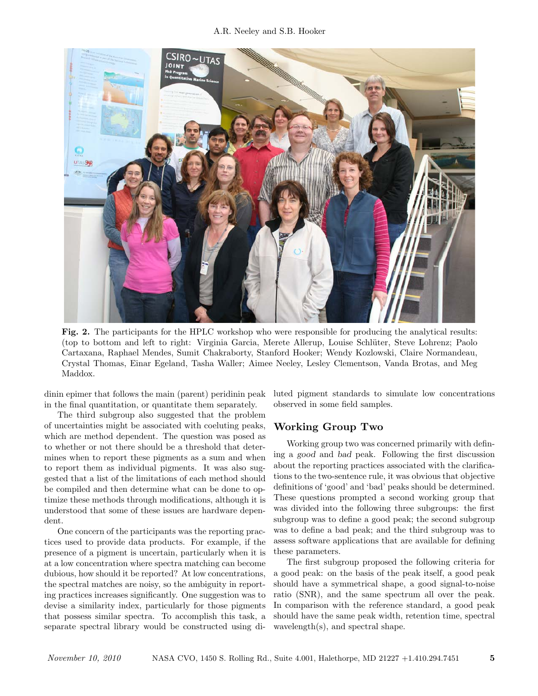### A.R. Neeley and S.B. Hooker



Fig. 2. The participants for the HPLC workshop who were responsible for producing the analytical results: (top to bottom and left to right: Virginia Garcia, Merete Allerup, Louise Schl¨uter, Steve Lohrenz; Paolo Cartaxana, Raphael Mendes, Sumit Chakraborty, Stanford Hooker; Wendy Kozlowski, Claire Normandeau, Crystal Thomas, Einar Egeland, Tasha Waller; Aimee Neeley, Lesley Clementson, Vanda Brotas, and Meg Maddox.

dinin epimer that follows the main (parent) peridinin peak in the final quantitation, or quantitate them separately.

The third subgroup also suggested that the problem of uncertainties might be associated with coeluting peaks, which are method dependent. The question was posed as to whether or not there should be a threshold that determines when to report these pigments as a sum and when to report them as individual pigments. It was also suggested that a list of the limitations of each method should be compiled and then determine what can be done to optimize these methods through modifications, although it is understood that some of these issues are hardware dependent.

One concern of the participants was the reporting practices used to provide data products. For example, if the presence of a pigment is uncertain, particularly when it is at a low concentration where spectra matching can become dubious, how should it be reported? At low concentrations, the spectral matches are noisy, so the ambiguity in reporting practices increases significantly. One suggestion was to devise a similarity index, particularly for those pigments that possess similar spectra. To accomplish this task, a separate spectral library would be constructed using diluted pigment standards to simulate low concentrations observed in some field samples.

## Working Group Two

Working group two was concerned primarily with defining a good and bad peak. Following the first discussion about the reporting practices associated with the clarifications to the two-sentence rule, it was obvious that objective definitions of 'good' and 'bad' peaks should be determined. These questions prompted a second working group that was divided into the following three subgroups: the first subgroup was to define a good peak; the second subgroup was to define a bad peak; and the third subgroup was to assess software applications that are available for defining these parameters.

The first subgroup proposed the following criteria for a good peak: on the basis of the peak itself, a good peak should have a symmetrical shape, a good signal-to-noise ratio (SNR), and the same spectrum all over the peak. In comparison with the reference standard, a good peak should have the same peak width, retention time, spectral wavelength(s), and spectral shape.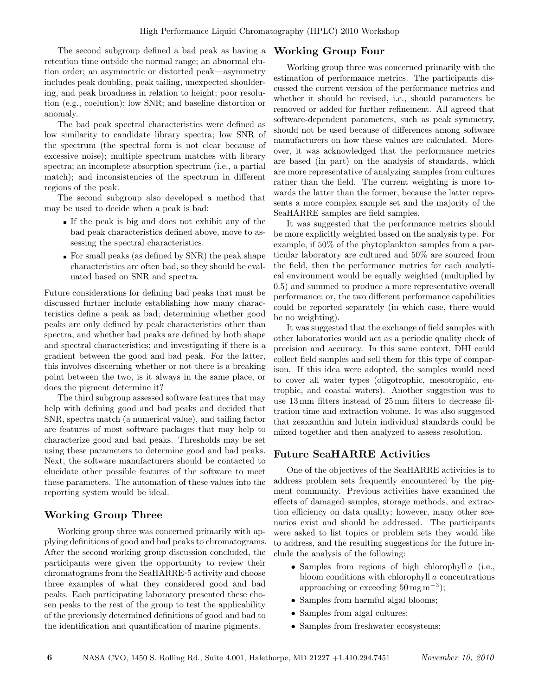The second subgroup defined a bad peak as having a retention time outside the normal range; an abnormal elution order; an asymmetric or distorted peak—asymmetry includes peak doubling, peak tailing, unexpected shouldering, and peak broadness in relation to height; poor resolution (e.g., coelution); low SNR; and baseline distortion or anomaly.

The bad peak spectral characteristics were defined as low similarity to candidate library spectra; low SNR of the spectrum (the spectral form is not clear because of excessive noise); multiple spectrum matches with library spectra; an incomplete absorption spectrum (i.e., a partial match); and inconsistencies of the spectrum in different regions of the peak.

The second subgroup also developed a method that may be used to decide when a peak is bad:

- If the peak is big and does not exhibit any of the bad peak characteristics defined above, move to assessing the spectral characteristics.
- For small peaks (as defined by SNR) the peak shape characteristics are often bad, so they should be evaluated based on SNR and spectra.

Future considerations for defining bad peaks that must be discussed further include establishing how many characteristics define a peak as bad; determining whether good peaks are only defined by peak characteristics other than spectra, and whether bad peaks are defined by both shape and spectral characteristics; and investigating if there is a gradient between the good and bad peak. For the latter, this involves discerning whether or not there is a breaking point between the two, is it always in the same place, or does the pigment determine it?

The third subgroup assessed software features that may help with defining good and bad peaks and decided that SNR, spectra match (a numerical value), and tailing factor are features of most software packages that may help to characterize good and bad peaks. Thresholds may be set using these parameters to determine good and bad peaks. Next, the software manufacturers should be contacted to elucidate other possible features of the software to meet these parameters. The automation of these values into the reporting system would be ideal.

# Working Group Three

Working group three was concerned primarily with applying definitions of good and bad peaks to chromatograms. After the second working group discussion concluded, the participants were given the opportunity to review their chromatograms from the SeaHARRE-5 activity and choose three examples of what they considered good and bad peaks. Each participating laboratory presented these chosen peaks to the rest of the group to test the applicability of the previously determined definitions of good and bad to the identification and quantification of marine pigments.

## Working Group Four

Working group three was concerned primarily with the estimation of performance metrics. The participants discussed the current version of the performance metrics and whether it should be revised, i.e., should parameters be removed or added for further refinement. All agreed that software-dependent parameters, such as peak symmetry, should not be used because of differences among software manufacturers on how these values are calculated. Moreover, it was acknowledged that the performance metrics are based (in part) on the analysis of standards, which are more representative of analyzing samples from cultures rather than the field. The current weighting is more towards the latter than the former, because the latter represents a more complex sample set and the majority of the SeaHARRE samples are field samples.

It was suggested that the performance metrics should be more explicitly weighted based on the analysis type. For example, if 50% of the phytoplankton samples from a particular laboratory are cultured and 50% are sourced from the field, then the performance metrics for each analytical environment would be equally weighted (multiplied by 0.5) and summed to produce a more representative overall performance; or, the two different performance capabilities could be reported separately (in which case, there would be no weighting).

It was suggested that the exchange of field samples with other laboratories would act as a periodic quality check of precision and accuracy. In this same context, DHI could collect field samples and sell them for this type of comparison. If this idea were adopted, the samples would need to cover all water types (oligotrophic, mesotrophic, eutrophic, and coastal waters). Another suggestion was to use 13 mm filters instead of 25 mm filters to decrease filtration time and extraction volume. It was also suggested that zeaxanthin and lutein individual standards could be mixed together and then analyzed to assess resolution.

## Future SeaHARRE Activities

One of the objectives of the SeaHARRE activities is to address problem sets frequently encountered by the pigment community. Previous activities have examined the effects of damaged samples, storage methods, and extraction efficiency on data quality; however, many other scenarios exist and should be addressed. The participants were asked to list topics or problem sets they would like to address, and the resulting suggestions for the future include the analysis of the following:

- Samples from regions of high chlorophyll a (i.e., bloom conditions with chlorophyll a concentrations approaching or exceeding  $50 \,\mathrm{mg\,m}^{-3}$ );
- Samples from harmful algal blooms;
- Samples from algal cultures;
- Samples from freshwater ecosystems;